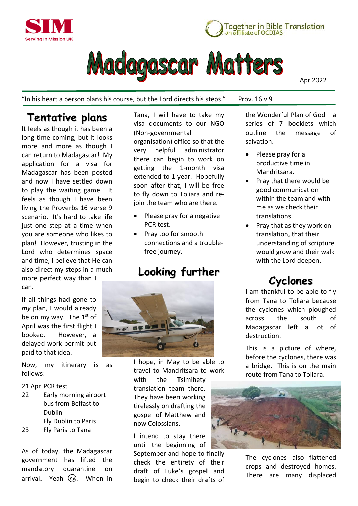





Apr 2022

"In his heart a person plans his course, but the Lord directs his steps." Prov.  $16 \vee 9$ 

## **Tentative plans**

It feels as though it has been a long time coming, but it looks more and more as though I can return to Madagascar! My application for a visa for Madagascar has been posted and now I have settled down to play the waiting game. It feels as though I have been living the Proverbs 16 verse 9 scenario. It's hard to take life just one step at a time when you are someone who likes to plan! However, trusting in the Lord who determines space and time, I believe that He can also direct my steps in a much

more perfect way than I can.

If all things had gone to *my* plan, I would already be on my way. The  $1<sup>st</sup>$  of April was the first flight I booked. However, a delayed work permit put paid to that idea.

Now, my itinerary is as follows:

### 21 Apr PCR test

22 Early morning airport bus from Belfast to Dublin Fly Dublin to Paris 23 Fly Paris to Tana

As of today, the Madagascar government has lifted the mandatory quarantine on arrival. Yeah  $\odot$ . When in

Tana, I will have to take my visa documents to our NGO (Non-governmental organisation) office so that the very helpful administrator there can begin to work on getting the 1-month visa extended to 1 year. Hopefully soon after that, I will be free to fly down to Toliara and rejoin the team who are there.

- Please pray for a negative PCR test.
- Pray too for smooth connections and a troublefree journey.

## **Looking further**



I hope, in May to be able to travel to Mandritsara to work with the Tsimihety translation team there. They have been working tirelessly on drafting the gospel of Matthew and now Colossians.

I intend to stay there until the beginning of

September and hope to finally check the entirety of their draft of Luke's gospel and begin to check their drafts of

the Wonderful Plan of God – a series of 7 booklets which outline the message of salvation.

- Please pray for a productive time in Mandritsara.
- Pray that there would be good communication within the team and with me as we check their translations.
- Pray that as they work on translation, that their understanding of scripture would grow and their walk with the Lord deepen.

# **Cyclones**

I am thankful to be able to fly from Tana to Toliara because the cyclones which ploughed across the south of Madagascar left a lot of destruction.

This is a picture of where, before the cyclones, there was a bridge. This is on the main route from Tana to Toliara.



The cyclones also flattened crops and destroyed homes. There are many displaced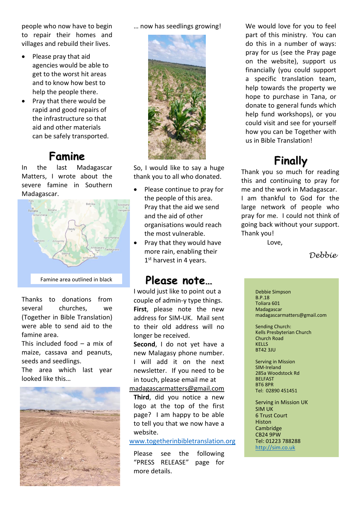people who now have to begin to repair their homes and villages and rebuild their lives.

- Please pray that aid agencies would be able to get to the worst hit areas and to know how best to help the people there.
- Pray that there would be rapid and good repairs of the infrastructure so that aid and other materials can be safely transported.

## **Famine**

In the last Madagascar Matters, I wrote about the severe famine in Southern Madagascar.



Thanks to donations from several churches, we (Together in Bible Translation) were able to send aid to the famine area.

This included food  $-$  a mix of maize, cassava and peanuts, seeds and seedlings.

The area which last year looked like this…



… now has seedlings growing!



So, I would like to say a huge thank you to all who donated.

- Please continue to pray for the people of this area. Pray that the aid we send and the aid of other organisations would reach the most vulnerable.
- Pray that they would have more rain, enabling their 1<sup>st</sup> harvest in 4 years.

### **Please note…**

I would just like to point out a couple of admin-y type things. **First**, please note the new address for SIM-UK. Mail sent to their old address will no longer be received.

**Second**, I do not yet have a new Malagasy phone number. I will add it on the next newsletter. If you need to be in touch, please email me at

[madagascarmatters@gmail.com](mailto:madagascarmatters@gmail.com) **Third**, did you notice a new logo at the top of the first page? I am happy to be able to tell you that we now have a website.

[www.togetherinbibletranslation.org](http://www.togetherinbibletranslation.org/)

Please see the following "PRESS RELEASE" page for more details.

We would love for you to feel part of this ministry. You can do this in a number of ways: pray for us (see the Pray page on the website), support us financially (you could support a specific translation team, help towards the property we hope to purchase in Tana, or donate to general funds which help fund workshops), or you could visit and see for yourself how you can be Together with us in Bible Translation!

## **Finally**

Thank you so much for reading this and continuing to pray for me and the work in Madagascar. I am thankful to God for the large network of people who pray for me. I could not think of going back without your support. Thank you!

Love,

*Debbie*

Debbie Simpson B.P.18 Toliara 601 Madagascar madagascarmatters@gmail.com

Sending Church: Kells Presbyterian Church Church Road KELLS BT42 3JU

Serving in Mission SIM-Ireland 285a Woodstock Rd BELFAST BT6 8PR Tel: 02890 451451

Serving in Mission UK SIM UK 6 Trust Court Histon Cambridge CB24 9PW Tel: 01223 788288 [http://sim.co.uk](http://sim.co.uk/)